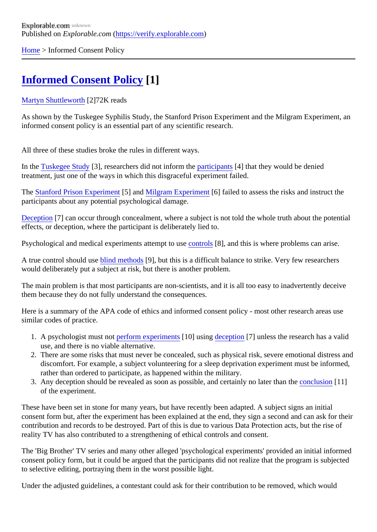[Home](https://verify.explorable.com/)> Informed Consent Policy

## [Informed Consent Policy](https://verify.explorable.com/informed-consent-policy)[1]

## [Martyn Shuttlewort](https://verify.explorable.com/users/martyn)h<sup>[2]</sup>72K reads

As shown by the Tuskegee Syphilis Study, the Stanford Prison Experiment and the Milgram Experiment, and the Milgram Experiment, and the Stanford and the Milgram Experiment, and the Milgram Experiment, and the Stanford and informed consent policy is an essential part of any scientific research.

All three of these studies broke the rules in different ways.

In the [Tuskegee Stud](https://verify.explorable.com/tuskegee-syphilis-study)<sup>[3]</sup>, researchers did not inform t[he participants](https://verify.explorable.com/social-science-subjects)<sup>[4]</sup> that they would be denied treatment, just one of the ways in which this disgraceful experiment failed.

The [Stanford Prison Experime](https://verify.explorable.com/stanford-prison-experiment)<sup>r</sup> [5] an[d Milgram Experimen](https://verify.explorable.com/stanley-milgram-experiment)t<sup>6</sup>] failed to assess the risks and instruct the participants about any potential psychological damage.

[Deception](https://verify.explorable.com/deception-and-research)[7] can occur through concealment, where a subject is not told the whole truth about the potential effects, or deception, where the participant is deliberately lied to.

Psychological and medical experiments attempt to use ols [8], and this is where problems can arise.

A true control should ustatind methods[9], but this is a difficult balance to strike. Very few researchers would deliberately put a subject at risk, but there is another problem.

The main problem is that most participants are non-scientists, and it is all too easy to inadvertently deceive them because they do not fully understand the consequences.

Here is a summary of the APA code of ethics and informed consent policy - most other research areas use similar codes of practice.

- 1. A psychologist must noterform experiments 0] usin[g deception](https://verify.explorable.com/deception-and-research) [7] unless the research has a valid use, and there is no viable alternative.
- 2. There are some risks that must never be concealed, such as physical risk, severe emotional distress discomfort. For example, a subject volunteering for a sleep deprivation experiment must be informed rather than ordered to participate, as happened within the military.
- 3. Any deception should be revealed as soon as possible, and certainly no later than literon [11] of the experiment.

These have been set in stone for many years, but have recently been adapted. A subject signs an initial consent form but, after the experiment has been explained at the end, they sign a second and can ask for contribution and records to be destroyed. Part of this is due to various Data Protection acts, but the rise of reality TV has also contributed to a strengthening of ethical controls and consent.

The 'Big Brother' TV series and many other alleged 'psychological experiments' provided an initial informe consent policy form, but it could be argued that the participants did not realize that the program is subjecte to selective editing, portraying them in the worst possible light.

Under the adjusted guidelines, a contestant could ask for their contribution to be removed, which would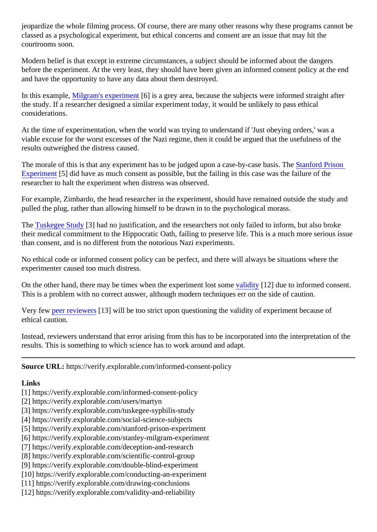jeopardize the whole filming process. Of course, there are many other reasons why these programs cannot classed as a psychological experiment, but ethical concerns and consent are an issue that may hit the courtrooms soon.

Modern belief is that except in extreme circumstances, a subject should be informed about the dangers before the experiment. At the very least, they should have been given an informed consent policy at the en and have the opportunity to have any data about them destroyed.

In this exampl[e, Milgram's experimen](https://verify.explorable.com/stanley-milgram-experiment)t 6] is a grey area, because the subjects were informed straight after the study. If a researcher designed a similar experiment today, it would be unlikely to pass ethical considerations.

At the time of experimentation, when the world was trying to understand if 'Just obeying orders,' was a viable excuse for the worst excesses of the Nazi regime, then it could be argued that the usefulness of the results outweighed the distress caused.

The morale of this is that any experiment has to be judged upon a case-by-case basis of the Prison [Experimen](https://verify.explorable.com/stanford-prison-experiment)t<sup>[5]</sup> did have as much consent as possible, but the failing in this case was the failure of the researcher to halt the experiment when distress was observed.

For example, Zimbardo, the head researcher in the experiment, should have remained outside the study and pulled the plug, rather than allowing himself to be drawn in to the psychological morass.

The [Tuskegee Stud](https://verify.explorable.com/tuskegee-syphilis-study)<sup>[3]</sup> had no justification, and the researchers not only failed to inform, but also broke their medical commitment to the Hippocratic Oath, failing to preserve life. This is a much more serious issue than consent, and is no different from the notorious Nazi experiments.

No ethical code or informed consent policy can be perfect, and there will always be situations where the experimenter caused too much distress.

On the other hand, there may be times when the experiment lost some [12] due to informed consent. This is a problem with no correct answer, although modern techniques err on the side of caution.

Very few [peer reviewer](https://verify.explorable.com/peer-review-process)s [3] will be too strict upon questioning the validity of experiment because of ethical caution.

Instead, reviewers understand that error arising from this has to be incorporated into the interpretation of t results. This is something to which science has to work around and adapt.

Source URL: https://verify.explorable.com/informed-consent-policy

Links

- [1] https://verify.explorable.com/informed-consent-policy
- [2] https://verify.explorable.com/users/martyn
- [3] https://verify.explorable.com/tuskegee-syphilis-study
- [4] https://verify.explorable.com/social-science-subjects
- [5] https://verify.explorable.com/stanford-prison-experiment
- [6] https://verify.explorable.com/stanley-milgram-experiment
- [7] https://verify.explorable.com/deception-and-research
- [8] https://verify.explorable.com/scientific-control-group
- [9] https://verify.explorable.com/double-blind-experiment
- [10] https://verify.explorable.com/conducting-an-experiment
- [11] https://verify.explorable.com/drawing-conclusions
- [12] https://verify.explorable.com/validity-and-reliability